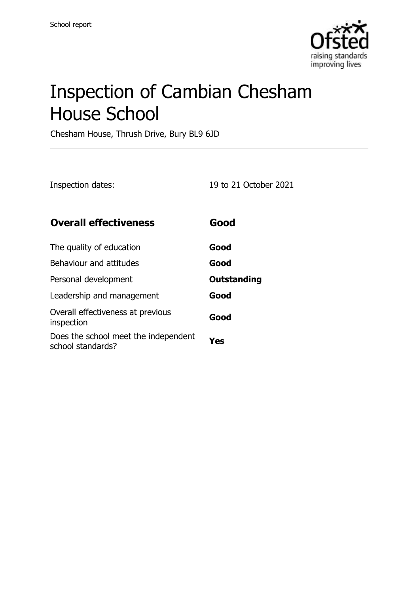

# Inspection of Cambian Chesham House School

Chesham House, Thrush Drive, Bury BL9 6JD

| Inspection dates: | 19 to 21 October 2021 |
|-------------------|-----------------------|
|-------------------|-----------------------|

| <b>Overall effectiveness</b>                              | Good        |
|-----------------------------------------------------------|-------------|
| The quality of education                                  | Good        |
| Behaviour and attitudes                                   | Good        |
| Personal development                                      | Outstanding |
| Leadership and management                                 | Good        |
| Overall effectiveness at previous<br>inspection           | Good        |
| Does the school meet the independent<br>school standards? | Yes         |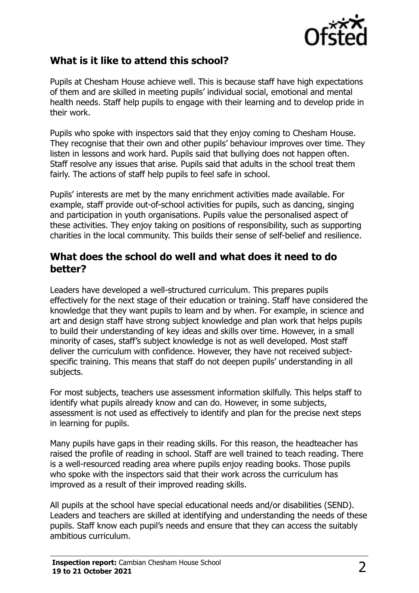

# **What is it like to attend this school?**

Pupils at Chesham House achieve well. This is because staff have high expectations of them and are skilled in meeting pupils' individual social, emotional and mental health needs. Staff help pupils to engage with their learning and to develop pride in their work.

Pupils who spoke with inspectors said that they enjoy coming to Chesham House. They recognise that their own and other pupils' behaviour improves over time. They listen in lessons and work hard. Pupils said that bullying does not happen often. Staff resolve any issues that arise. Pupils said that adults in the school treat them fairly. The actions of staff help pupils to feel safe in school.

Pupils' interests are met by the many enrichment activities made available. For example, staff provide out-of-school activities for pupils, such as dancing, singing and participation in youth organisations. Pupils value the personalised aspect of these activities. They enjoy taking on positions of responsibility, such as supporting charities in the local community. This builds their sense of self-belief and resilience.

#### **What does the school do well and what does it need to do better?**

Leaders have developed a well-structured curriculum. This prepares pupils effectively for the next stage of their education or training. Staff have considered the knowledge that they want pupils to learn and by when. For example, in science and art and design staff have strong subject knowledge and plan work that helps pupils to build their understanding of key ideas and skills over time. However, in a small minority of cases, staff's subject knowledge is not as well developed. Most staff deliver the curriculum with confidence. However, they have not received subjectspecific training. This means that staff do not deepen pupils' understanding in all subjects.

For most subjects, teachers use assessment information skilfully. This helps staff to identify what pupils already know and can do. However, in some subjects, assessment is not used as effectively to identify and plan for the precise next steps in learning for pupils.

Many pupils have gaps in their reading skills. For this reason, the headteacher has raised the profile of reading in school. Staff are well trained to teach reading. There is a well-resourced reading area where pupils enjoy reading books. Those pupils who spoke with the inspectors said that their work across the curriculum has improved as a result of their improved reading skills.

All pupils at the school have special educational needs and/or disabilities (SEND). Leaders and teachers are skilled at identifying and understanding the needs of these pupils. Staff know each pupil's needs and ensure that they can access the suitably ambitious curriculum.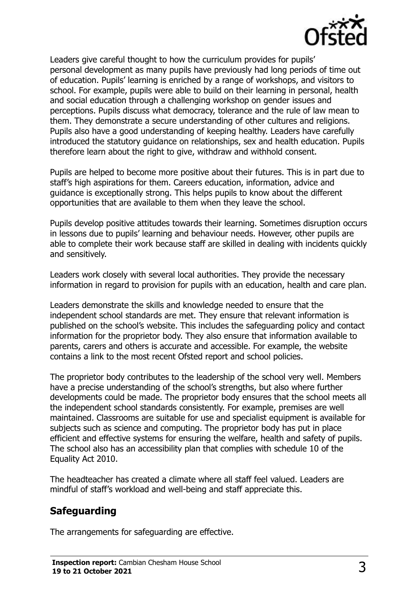

Leaders give careful thought to how the curriculum provides for pupils' personal development as many pupils have previously had long periods of time out of education. Pupils' learning is enriched by a range of workshops, and visitors to school. For example, pupils were able to build on their learning in personal, health and social education through a challenging workshop on gender issues and perceptions. Pupils discuss what democracy, tolerance and the rule of law mean to them. They demonstrate a secure understanding of other cultures and religions. Pupils also have a good understanding of keeping healthy. Leaders have carefully introduced the statutory guidance on relationships, sex and health education. Pupils therefore learn about the right to give, withdraw and withhold consent.

Pupils are helped to become more positive about their futures. This is in part due to staff's high aspirations for them. Careers education, information, advice and guidance is exceptionally strong. This helps pupils to know about the different opportunities that are available to them when they leave the school.

Pupils develop positive attitudes towards their learning. Sometimes disruption occurs in lessons due to pupils' learning and behaviour needs. However, other pupils are able to complete their work because staff are skilled in dealing with incidents quickly and sensitively.

Leaders work closely with several local authorities. They provide the necessary information in regard to provision for pupils with an education, health and care plan.

Leaders demonstrate the skills and knowledge needed to ensure that the independent school standards are met. They ensure that relevant information is published on the school's website. This includes the safeguarding policy and contact information for the proprietor body. They also ensure that information available to parents, carers and others is accurate and accessible. For example, the website contains a link to the most recent Ofsted report and school policies.

The proprietor body contributes to the leadership of the school very well. Members have a precise understanding of the school's strengths, but also where further developments could be made. The proprietor body ensures that the school meets all the independent school standards consistently. For example, premises are well maintained. Classrooms are suitable for use and specialist equipment is available for subjects such as science and computing. The proprietor body has put in place efficient and effective systems for ensuring the welfare, health and safety of pupils. The school also has an accessibility plan that complies with schedule 10 of the Equality Act 2010.

The headteacher has created a climate where all staff feel valued. Leaders are mindful of staff's workload and well-being and staff appreciate this.

# **Safeguarding**

The arrangements for safeguarding are effective.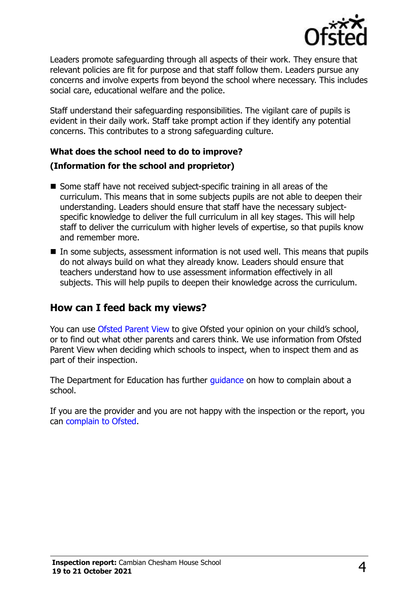

Leaders promote safeguarding through all aspects of their work. They ensure that relevant policies are fit for purpose and that staff follow them. Leaders pursue any concerns and involve experts from beyond the school where necessary. This includes social care, educational welfare and the police.

Staff understand their safeguarding responsibilities. The vigilant care of pupils is evident in their daily work. Staff take prompt action if they identify any potential concerns. This contributes to a strong safeguarding culture.

#### **What does the school need to do to improve?**

#### **(Information for the school and proprietor)**

- Some staff have not received subject-specific training in all areas of the curriculum. This means that in some subjects pupils are not able to deepen their understanding. Leaders should ensure that staff have the necessary subjectspecific knowledge to deliver the full curriculum in all key stages. This will help staff to deliver the curriculum with higher levels of expertise, so that pupils know and remember more.
- In some subjects, assessment information is not used well. This means that pupils do not always build on what they already know. Leaders should ensure that teachers understand how to use assessment information effectively in all subjects. This will help pupils to deepen their knowledge across the curriculum.

#### **How can I feed back my views?**

You can use [Ofsted Parent View](http://parentview.ofsted.gov.uk/) to give Ofsted your opinion on your child's school, or to find out what other parents and carers think. We use information from Ofsted Parent View when deciding which schools to inspect, when to inspect them and as part of their inspection.

The Department for Education has further quidance on how to complain about a school.

If you are the provider and you are not happy with the inspection or the report, you can [complain to Ofsted.](http://www.gov.uk/complain-ofsted-report)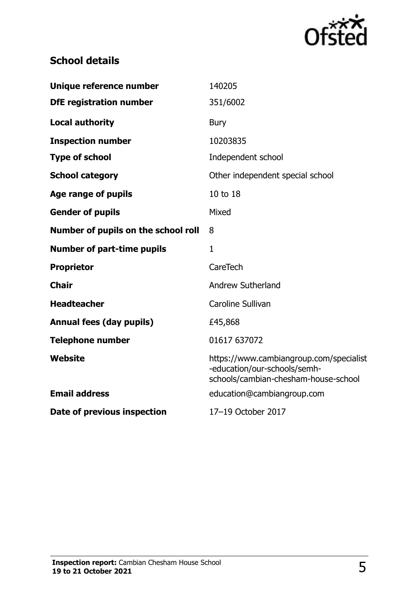

# **School details**

| Unique reference number             | 140205                                                                                                          |
|-------------------------------------|-----------------------------------------------------------------------------------------------------------------|
| <b>DfE registration number</b>      | 351/6002                                                                                                        |
| <b>Local authority</b>              | <b>Bury</b>                                                                                                     |
| <b>Inspection number</b>            | 10203835                                                                                                        |
| <b>Type of school</b>               | Independent school                                                                                              |
| <b>School category</b>              | Other independent special school                                                                                |
| <b>Age range of pupils</b>          | 10 to 18                                                                                                        |
| <b>Gender of pupils</b>             | Mixed                                                                                                           |
| Number of pupils on the school roll | 8                                                                                                               |
| <b>Number of part-time pupils</b>   | $\mathbf{1}$                                                                                                    |
| <b>Proprietor</b>                   | CareTech                                                                                                        |
| <b>Chair</b>                        | <b>Andrew Sutherland</b>                                                                                        |
| <b>Headteacher</b>                  | Caroline Sullivan                                                                                               |
| <b>Annual fees (day pupils)</b>     | £45,868                                                                                                         |
| <b>Telephone number</b>             | 01617 637072                                                                                                    |
| Website                             | https://www.cambiangroup.com/specialist<br>-education/our-schools/semh-<br>schools/cambian-chesham-house-school |
| <b>Email address</b>                | education@cambiangroup.com                                                                                      |
| Date of previous inspection         | 17-19 October 2017                                                                                              |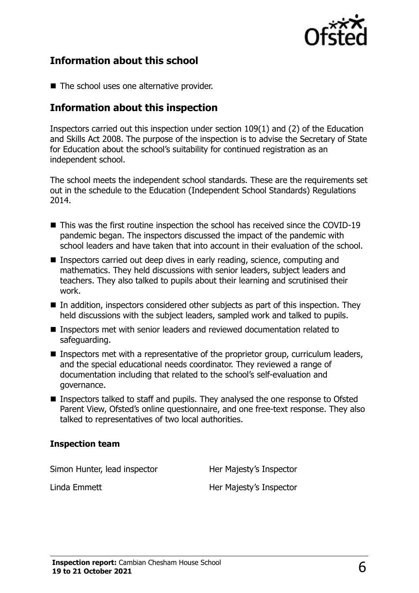

#### **Information about this school**

■ The school uses one alternative provider.

### **Information about this inspection**

Inspectors carried out this inspection under section 109(1) and (2) of the Education and Skills Act 2008. The purpose of the inspection is to advise the Secretary of State for Education about the school's suitability for continued registration as an independent school.

The school meets the independent school standards. These are the requirements set out in the schedule to the Education (Independent School Standards) Regulations 2014.

- This was the first routine inspection the school has received since the COVID-19 pandemic began. The inspectors discussed the impact of the pandemic with school leaders and have taken that into account in their evaluation of the school.
- Inspectors carried out deep dives in early reading, science, computing and mathematics. They held discussions with senior leaders, subject leaders and teachers. They also talked to pupils about their learning and scrutinised their work.
- In addition, inspectors considered other subjects as part of this inspection. They held discussions with the subject leaders, sampled work and talked to pupils.
- Inspectors met with senior leaders and reviewed documentation related to safeguarding.
- Inspectors met with a representative of the proprietor group, curriculum leaders, and the special educational needs coordinator. They reviewed a range of documentation including that related to the school's self-evaluation and governance.
- Inspectors talked to staff and pupils. They analysed the one response to Ofsted Parent View, Ofsted's online questionnaire, and one free-text response. They also talked to representatives of two local authorities.

#### **Inspection team**

Simon Hunter, lead inspector **Her Majesty's Inspector** 

Linda Emmett **Her Majesty's Inspector**